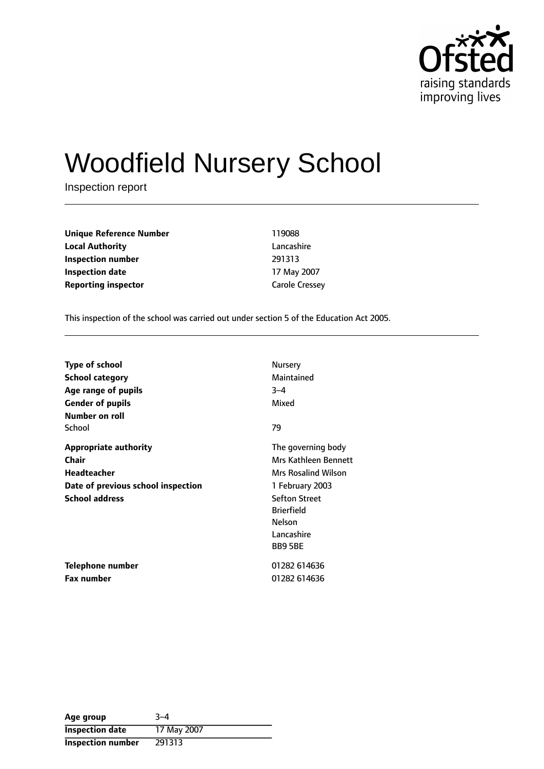

# Woodfield Nursery School

Inspection report

| <b>Unique Reference Number</b> | 119088                |
|--------------------------------|-----------------------|
| Local Authority                | Lancashire            |
| Inspection number              | 291313                |
| Inspection date                | 17 May 2007           |
| <b>Reporting inspector</b>     | <b>Carole Cressey</b> |
|                                |                       |

This inspection of the school was carried out under section 5 of the Education Act 2005.

| <b>Type of school</b>              | Nursery                    |
|------------------------------------|----------------------------|
| <b>School category</b>             | Maintained                 |
| Age range of pupils                | $3 - 4$                    |
| <b>Gender of pupils</b>            | Mixed                      |
| Number on roll                     |                            |
| School                             | 79                         |
| <b>Appropriate authority</b>       | The governing body         |
| <b>Chair</b>                       | Mrs Kathleen Bennett       |
| <b>Headteacher</b>                 | <b>Mrs Rosalind Wilson</b> |
| Date of previous school inspection | 1 February 2003            |
| <b>School address</b>              | <b>Sefton Street</b>       |
|                                    | <b>Brierfield</b>          |
|                                    | Nelson                     |
|                                    | Lancashire                 |
|                                    | <b>BB95BE</b>              |
| Telephone number                   | 01282 614636               |
| Fax number                         | 01282 614636               |

| Age group                | $3 - 4$     |
|--------------------------|-------------|
| <b>Inspection date</b>   | 17 May 2007 |
| <b>Inspection number</b> | 291313      |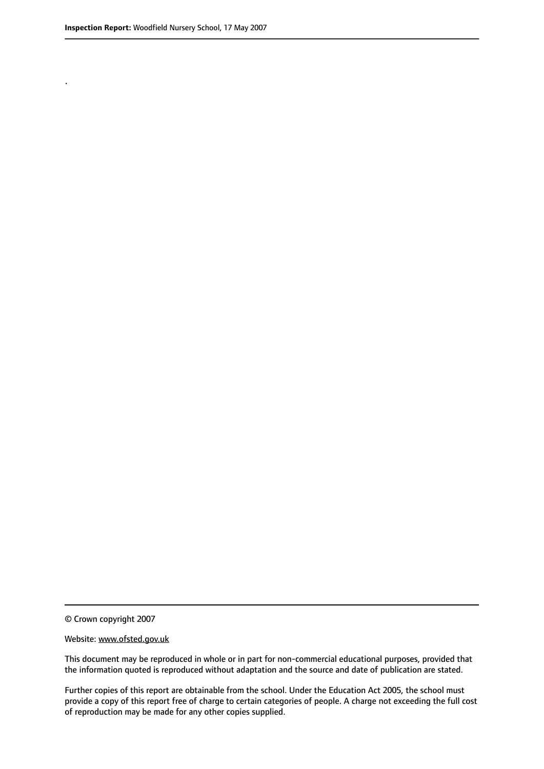.

© Crown copyright 2007

#### Website: www.ofsted.gov.uk

This document may be reproduced in whole or in part for non-commercial educational purposes, provided that the information quoted is reproduced without adaptation and the source and date of publication are stated.

Further copies of this report are obtainable from the school. Under the Education Act 2005, the school must provide a copy of this report free of charge to certain categories of people. A charge not exceeding the full cost of reproduction may be made for any other copies supplied.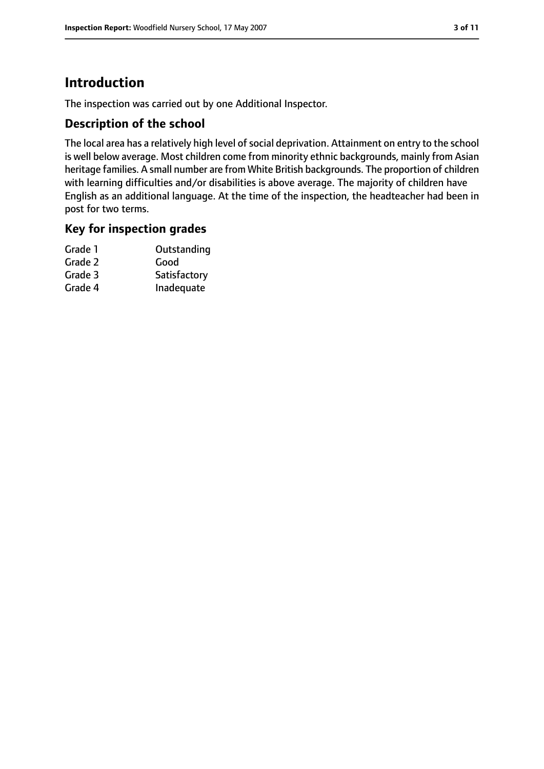## **Introduction**

The inspection was carried out by one Additional Inspector.

### **Description of the school**

The local area has a relatively high level of social deprivation. Attainment on entry to the school is well below average. Most children come from minority ethnic backgrounds, mainly from Asian heritage families. A small number are from White British backgrounds. The proportion of children with learning difficulties and/or disabilities is above average. The majority of children have English as an additional language. At the time of the inspection, the headteacher had been in post for two terms.

#### **Key for inspection grades**

| Grade 1 | Outstanding  |
|---------|--------------|
| Grade 2 | Good         |
| Grade 3 | Satisfactory |
| Grade 4 | Inadequate   |
|         |              |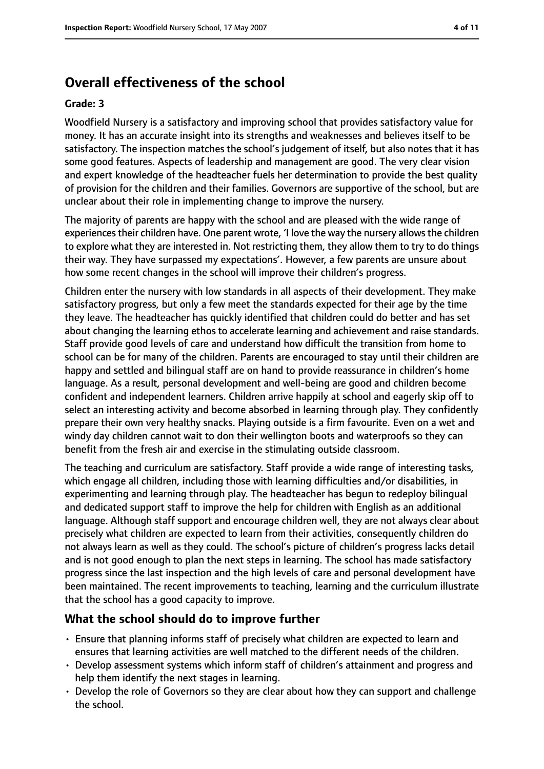## **Overall effectiveness of the school**

#### **Grade: 3**

Woodfield Nursery is a satisfactory and improving school that provides satisfactory value for money. It has an accurate insight into its strengths and weaknesses and believes itself to be satisfactory. The inspection matches the school's judgement of itself, but also notes that it has some good features. Aspects of leadership and management are good. The very clear vision and expert knowledge of the headteacher fuels her determination to provide the best quality of provision for the children and their families. Governors are supportive of the school, but are unclear about their role in implementing change to improve the nursery.

The majority of parents are happy with the school and are pleased with the wide range of experiences their children have. One parent wrote, 'I love the way the nursery allows the children to explore what they are interested in. Not restricting them, they allow them to try to do things their way. They have surpassed my expectations'. However, a few parents are unsure about how some recent changes in the school will improve their children's progress.

Children enter the nursery with low standards in all aspects of their development. They make satisfactory progress, but only a few meet the standards expected for their age by the time they leave. The headteacher has quickly identified that children could do better and has set about changing the learning ethos to accelerate learning and achievement and raise standards. Staff provide good levels of care and understand how difficult the transition from home to school can be for many of the children. Parents are encouraged to stay until their children are happy and settled and bilingual staff are on hand to provide reassurance in children's home language. As a result, personal development and well-being are good and children become confident and independent learners. Children arrive happily at school and eagerly skip off to select an interesting activity and become absorbed in learning through play. They confidently prepare their own very healthy snacks. Playing outside is a firm favourite. Even on a wet and windy day children cannot wait to don their wellington boots and waterproofs so they can benefit from the fresh air and exercise in the stimulating outside classroom.

The teaching and curriculum are satisfactory. Staff provide a wide range of interesting tasks, which engage all children, including those with learning difficulties and/or disabilities, in experimenting and learning through play. The headteacher has begun to redeploy bilingual and dedicated support staff to improve the help for children with English as an additional language. Although staff support and encourage children well, they are not always clear about precisely what children are expected to learn from their activities, consequently children do not always learn as well as they could. The school's picture of children's progress lacks detail and is not good enough to plan the next steps in learning. The school has made satisfactory progress since the last inspection and the high levels of care and personal development have been maintained. The recent improvements to teaching, learning and the curriculum illustrate that the school has a good capacity to improve.

#### **What the school should do to improve further**

- Ensure that planning informs staff of precisely what children are expected to learn and ensures that learning activities are well matched to the different needs of the children.
- Develop assessment systems which inform staff of children's attainment and progress and help them identify the next stages in learning.
- Develop the role of Governors so they are clear about how they can support and challenge the school.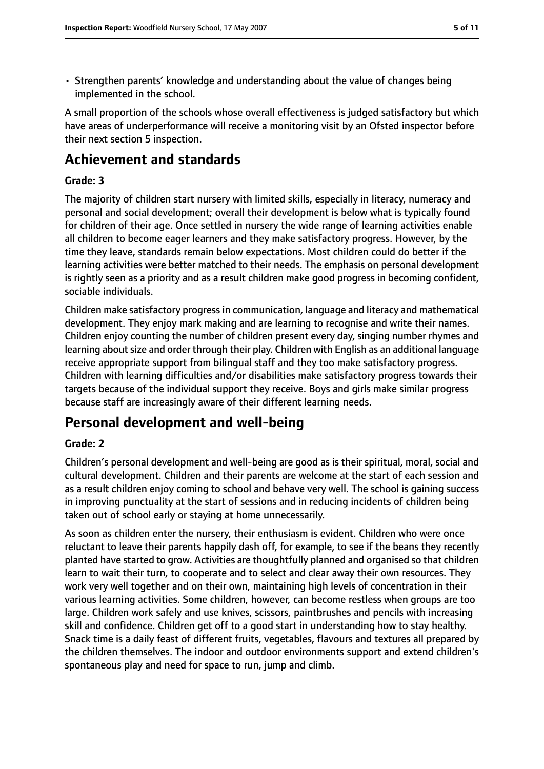• Strengthen parents' knowledge and understanding about the value of changes being implemented in the school.

A small proportion of the schools whose overall effectiveness is judged satisfactory but which have areas of underperformance will receive a monitoring visit by an Ofsted inspector before their next section 5 inspection.

## **Achievement and standards**

#### **Grade: 3**

The majority of children start nursery with limited skills, especially in literacy, numeracy and personal and social development; overall their development is below what is typically found for children of their age. Once settled in nursery the wide range of learning activities enable all children to become eager learners and they make satisfactory progress. However, by the time they leave, standards remain below expectations. Most children could do better if the learning activities were better matched to their needs. The emphasis on personal development is rightly seen as a priority and as a result children make good progress in becoming confident, sociable individuals.

Children make satisfactory progressin communication, language and literacy and mathematical development. They enjoy mark making and are learning to recognise and write their names. Children enjoy counting the number of children present every day, singing number rhymes and learning about size and order through their play. Children with English as an additional language receive appropriate support from bilingual staff and they too make satisfactory progress. Children with learning difficulties and/or disabilities make satisfactory progress towards their targets because of the individual support they receive. Boys and girls make similar progress because staff are increasingly aware of their different learning needs.

## **Personal development and well-being**

#### **Grade: 2**

Children's personal development and well-being are good as is their spiritual, moral, social and cultural development. Children and their parents are welcome at the start of each session and as a result children enjoy coming to school and behave very well. The school is gaining success in improving punctuality at the start of sessions and in reducing incidents of children being taken out of school early or staying at home unnecessarily.

As soon as children enter the nursery, their enthusiasm is evident. Children who were once reluctant to leave their parents happily dash off, for example, to see if the beans they recently planted have started to grow. Activities are thoughtfully planned and organised so that children learn to wait their turn, to cooperate and to select and clear away their own resources. They work very well together and on their own, maintaining high levels of concentration in their various learning activities. Some children, however, can become restless when groups are too large. Children work safely and use knives, scissors, paintbrushes and pencils with increasing skill and confidence. Children get off to a good start in understanding how to stay healthy. Snack time is a daily feast of different fruits, vegetables, flavours and textures all prepared by the children themselves. The indoor and outdoor environments support and extend children's spontaneous play and need for space to run, jump and climb.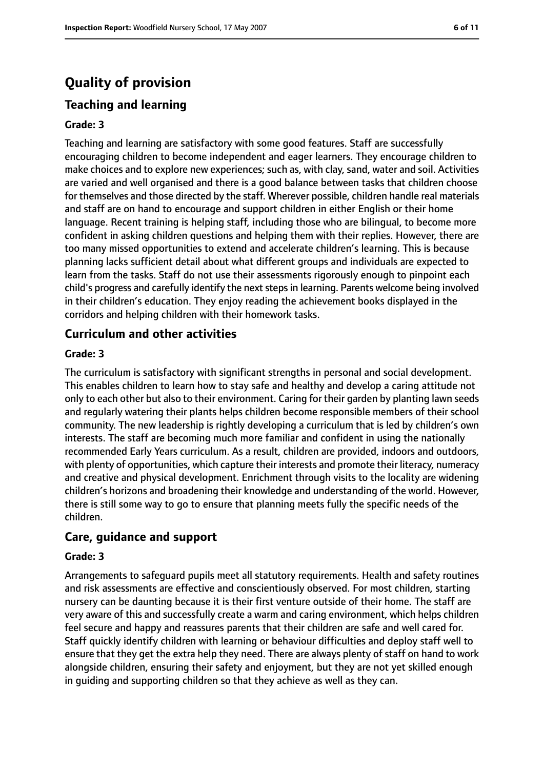## **Quality of provision**

## **Teaching and learning**

#### **Grade: 3**

Teaching and learning are satisfactory with some good features. Staff are successfully encouraging children to become independent and eager learners. They encourage children to make choices and to explore new experiences; such as, with clay, sand, water and soil. Activities are varied and well organised and there is a good balance between tasks that children choose for themselves and those directed by the staff. Wherever possible, children handle real materials and staff are on hand to encourage and support children in either English or their home language. Recent training is helping staff, including those who are bilingual, to become more confident in asking children questions and helping them with their replies. However, there are too many missed opportunities to extend and accelerate children's learning. This is because planning lacks sufficient detail about what different groups and individuals are expected to learn from the tasks. Staff do not use their assessments rigorously enough to pinpoint each child's progress and carefully identify the next steps in learning. Parents welcome being involved in their children's education. They enjoy reading the achievement books displayed in the corridors and helping children with their homework tasks.

#### **Curriculum and other activities**

#### **Grade: 3**

The curriculum is satisfactory with significant strengths in personal and social development. This enables children to learn how to stay safe and healthy and develop a caring attitude not only to each other but also to their environment. Caring for their garden by planting lawn seeds and regularly watering their plants helps children become responsible members of their school community. The new leadership is rightly developing a curriculum that is led by children's own interests. The staff are becoming much more familiar and confident in using the nationally recommended Early Years curriculum. As a result, children are provided, indoors and outdoors, with plenty of opportunities, which capture their interests and promote their literacy, numeracy and creative and physical development. Enrichment through visits to the locality are widening children's horizons and broadening their knowledge and understanding of the world. However, there is still some way to go to ensure that planning meets fully the specific needs of the children.

#### **Care, guidance and support**

#### **Grade: 3**

Arrangements to safeguard pupils meet all statutory requirements. Health and safety routines and risk assessments are effective and conscientiously observed. For most children, starting nursery can be daunting because it is their first venture outside of their home. The staff are very aware of this and successfully create a warm and caring environment, which helps children feel secure and happy and reassures parents that their children are safe and well cared for. Staff quickly identify children with learning or behaviour difficulties and deploy staff well to ensure that they get the extra help they need. There are always plenty of staff on hand to work alongside children, ensuring their safety and enjoyment, but they are not yet skilled enough in guiding and supporting children so that they achieve as well as they can.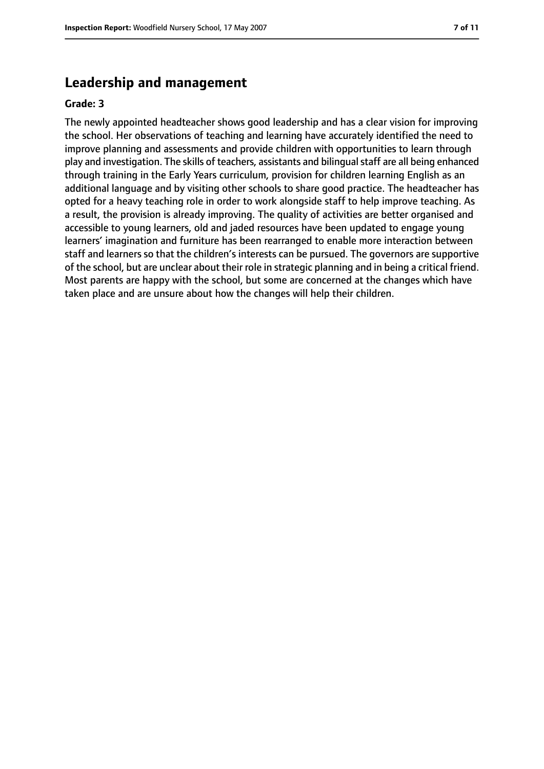## **Leadership and management**

#### **Grade: 3**

The newly appointed headteacher shows good leadership and has a clear vision for improving the school. Her observations of teaching and learning have accurately identified the need to improve planning and assessments and provide children with opportunities to learn through play and investigation. The skills of teachers, assistants and bilingual staff are all being enhanced through training in the Early Years curriculum, provision for children learning English as an additional language and by visiting other schools to share good practice. The headteacher has opted for a heavy teaching role in order to work alongside staff to help improve teaching. As a result, the provision is already improving. The quality of activities are better organised and accessible to young learners, old and jaded resources have been updated to engage young learners' imagination and furniture has been rearranged to enable more interaction between staff and learners so that the children's interests can be pursued. The governors are supportive of the school, but are unclear about their role in strategic planning and in being a critical friend. Most parents are happy with the school, but some are concerned at the changes which have taken place and are unsure about how the changes will help their children.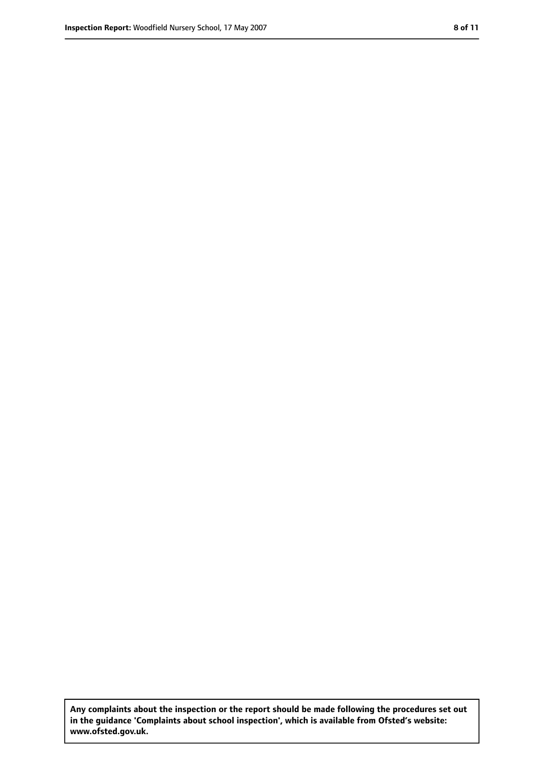**Any complaints about the inspection or the report should be made following the procedures set out in the guidance 'Complaints about school inspection', which is available from Ofsted's website: www.ofsted.gov.uk.**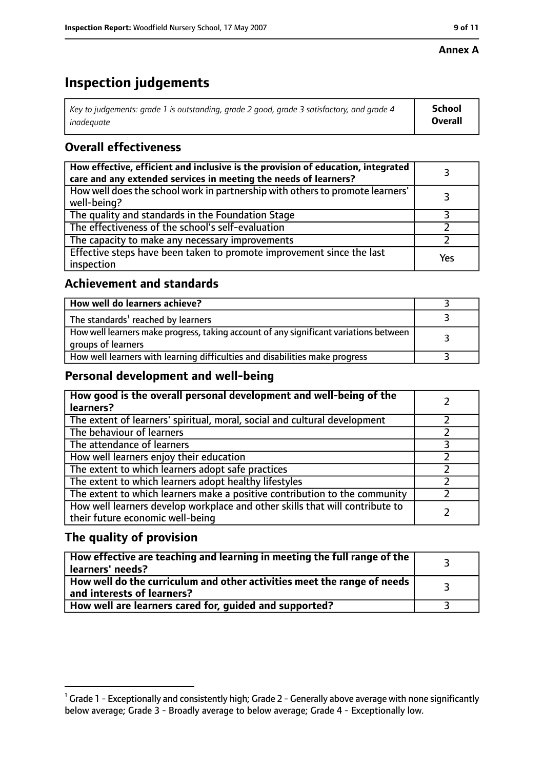#### **Annex A**

## **Inspection judgements**

| Key to judgements: grade 1 is outstanding, grade 2 good, grade 3 satisfactory, and grade 4 $\,$ | <b>School</b>  |
|-------------------------------------------------------------------------------------------------|----------------|
| inadequate                                                                                      | <b>Overall</b> |

## **Overall effectiveness**

| How effective, efficient and inclusive is the provision of education, integrated<br>care and any extended services in meeting the needs of learners? |     |
|------------------------------------------------------------------------------------------------------------------------------------------------------|-----|
| How well does the school work in partnership with others to promote learners'<br>well-being?                                                         |     |
| The quality and standards in the Foundation Stage                                                                                                    |     |
| The effectiveness of the school's self-evaluation                                                                                                    |     |
| The capacity to make any necessary improvements                                                                                                      |     |
| Effective steps have been taken to promote improvement since the last<br>inspection                                                                  | Yes |

## **Achievement and standards**

| How well do learners achieve?                                                                               |  |
|-------------------------------------------------------------------------------------------------------------|--|
| The standards <sup>1</sup> reached by learners                                                              |  |
| How well learners make progress, taking account of any significant variations between<br>groups of learners |  |
| How well learners with learning difficulties and disabilities make progress                                 |  |

### **Personal development and well-being**

| How good is the overall personal development and well-being of the<br>learners?                                  |  |
|------------------------------------------------------------------------------------------------------------------|--|
| The extent of learners' spiritual, moral, social and cultural development                                        |  |
| The behaviour of learners                                                                                        |  |
| The attendance of learners                                                                                       |  |
| How well learners enjoy their education                                                                          |  |
| The extent to which learners adopt safe practices                                                                |  |
| The extent to which learners adopt healthy lifestyles                                                            |  |
| The extent to which learners make a positive contribution to the community                                       |  |
| How well learners develop workplace and other skills that will contribute to<br>their future economic well-being |  |

## **The quality of provision**

| How effective are teaching and learning in meeting the full range of the<br>learners' needs?          |  |
|-------------------------------------------------------------------------------------------------------|--|
| How well do the curriculum and other activities meet the range of needs<br>and interests of learners? |  |
| How well are learners cared for, guided and supported?                                                |  |

 $^1$  Grade 1 - Exceptionally and consistently high; Grade 2 - Generally above average with none significantly below average; Grade 3 - Broadly average to below average; Grade 4 - Exceptionally low.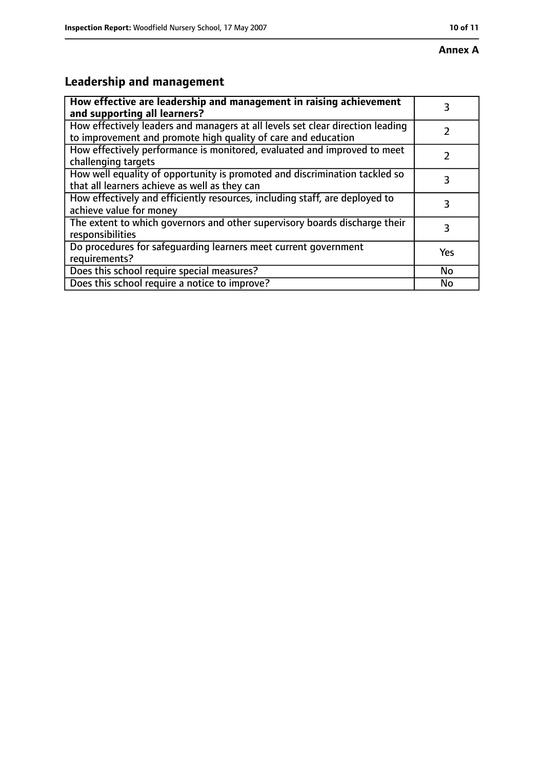## **Leadership and management**

| How effective are leadership and management in raising achievement<br>and supporting all learners?                                              | 3   |
|-------------------------------------------------------------------------------------------------------------------------------------------------|-----|
| How effectively leaders and managers at all levels set clear direction leading<br>to improvement and promote high quality of care and education |     |
| How effectively performance is monitored, evaluated and improved to meet<br>challenging targets                                                 |     |
| How well equality of opportunity is promoted and discrimination tackled so<br>that all learners achieve as well as they can                     | 3   |
| How effectively and efficiently resources, including staff, are deployed to<br>achieve value for money                                          | 3   |
| The extent to which governors and other supervisory boards discharge their<br>responsibilities                                                  | 3   |
| Do procedures for safequarding learners meet current government<br>requirements?                                                                | Yes |
| Does this school require special measures?                                                                                                      | No  |
| Does this school require a notice to improve?                                                                                                   | No  |